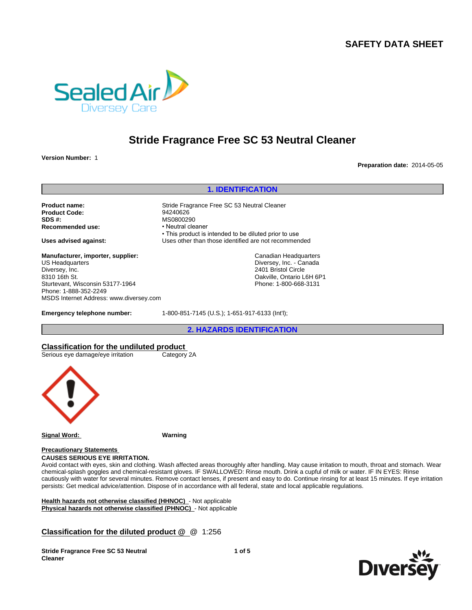

# **Stride Fragrance Free SC 53 Neutral Cleaner**

**Version Number:** 1

**Preparation date:** 2014-05-05

**1. IDENTIFICATION Product name:** Stride Fragrance Free SC 53 Neutral Cleaner<br> **Product Code:** 94240626 **Product Code:**<br>SDS #: MS0800290<br>• Neutral cleaner **Recommended use:** • This product is intended to be diluted prior to use **Uses advised against:** Uses other than those identified are not recommended **Emergency telephone number:** 1-800-851-7145 (U.S.); 1-651-917-6133 (Int'l); **2. HAZARDS IDENTIFICATION Manufacturer, importer, supplier:** US Headquarters Diversey, Inc. 8310 16th St. Sturtevant, Wisconsin 53177-1964 Phone: 1-888-352-2249 MSDS Internet Address: www.diversey.com Canadian Headquarters Diversey, Inc. - Canada 2401 Bristol Circle Oakville, Ontario L6H 6P1 Phone: 1-800-668-3131

## **Classification for the undiluted product**

Serious eye damage/eye irritation Category 2A



**Signal Word: Warning**

#### **Precautionary Statements CAUSES SERIOUS EYE IRRITATION.**

Avoid contact with eyes, skin and clothing. Wash affected areas thoroughly after handling. May cause irritation to mouth, throat and stomach. Wear chemical-splash goggles and chemical-resistant gloves. IF SWALLOWED: Rinse mouth. Drink a cupful of milk or water. IF IN EYES: Rinse cautiously with water for several minutes. Remove contact lenses, if present and easy to do. Continue rinsing for at least 15 minutes. If eye irritation persists: Get medical advice/attention. Dispose of in accordance with all federal, state and local applicable regulations.

**Health hazards not otherwise classified (HHNOC)** - Not applicable **Physical hazards not otherwise classified (PHNOC)** - Not applicable

# **Classification for the diluted product @** @ 1:256

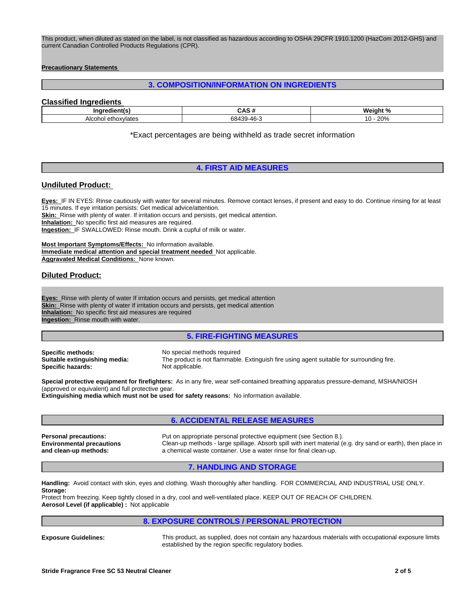This product, when diluted as stated on the label, is not classified as hazardous according to OSHA 29CFR 1910.1200 (HazCom 2012-GHS) and current Canadian Controlled Products Regulations (CPR).

#### **Precautionary Statements**

## **3. COMPOSITION/INFORMATION ON INGREDIENTS**

## **Classified Ingredients**

| Indredient(s)                                                      | $\cdot$<br>---             | .<br>elom<br>- 70          |
|--------------------------------------------------------------------|----------------------------|----------------------------|
| $A$ <sub>lco</sub> h<br>ethoxylates<br>.<br>AIGUL.<br>$\mathbf{1}$ | 20<br>$\sim$<br>. .<br>. . | 000<br>⌒<br>2 U 7 C<br>. . |

\*Exact percentages are being withheld as trade secret information

## **4. FIRST AID MEASURES**

#### **Undiluted Product:**

**Eyes:** IF IN EYES: Rinse cautiously with water for several minutes. Remove contact lenses, if present and easy to do. Continue rinsing for at least 15 minutes. If eye irritation persists: Get medical advice/attention. **Skin:** Rinse with plenty of water. If irritation occurs and persists, get medical attention. **Inhalation:** No specific first aid measures are required. **Ingestion:** IF SWALLOWED: Rinse mouth. Drink a cupful of milk or water.

**Most Important Symptoms/Effects:** No information available. **Immediate medical attention and special treatment needed** Not applicable. **Aggravated Medical Conditions:** None known.

## **Diluted Product:**

**Eyes:** Rinse with plenty of water If irritation occurs and persists, get medical attention **Skin:** Rinse with plenty of water If irritation occurs and persists, get medical attention **Inhalation:** No specific first aid measures are required **Ingestion:** Rinse mouth with water.

### **5. FIRE-FIGHTING MEASURES**

**Specific methods:** No special methods required<br> **Suitable extinguishing media:** The product is not flammable **Specific hazards:** 

The product is not flammable. Extinguish fire using agent suitable for surrounding fire.<br>Not applicable.

**Special protective equipment for firefighters:** As in any fire, wear self-contained breathing apparatus pressure-demand, MSHA/NIOSH (approved or equivalent) and full protective gear.

**Extinguishing media which must not be used for safety reasons:** No information available.

#### **6. ACCIDENTAL RELEASE MEASURES**

**Personal precautions:** Put on appropriate personal protective equipment (see Section 8.). **Environmental precautions and clean-up methods:** Clean-up methods - large spillage. Absorb spill with inert material (e.g. dry sand or earth), then place in a chemical waste container. Use a water rinse for final clean-up.

#### **7. HANDLING AND STORAGE**

**Handling:** Avoid contact with skin, eyes and clothing. Wash thoroughly after handling. FOR COMMERCIAL AND INDUSTRIAL USE ONLY. **Storage:**

Protect from freezing. Keep tightly closed in a dry, cool and well-ventilated place. KEEP OUT OF REACH OF CHILDREN. **Aerosol Level (if applicable) :** Not applicable

## **8. EXPOSURE CONTROLS / PERSONAL PROTECTION**

**Exposure Guidelines:** This product, as supplied, does not contain any hazardous materials with occupational exposure limits established by the region specific regulatory bodies.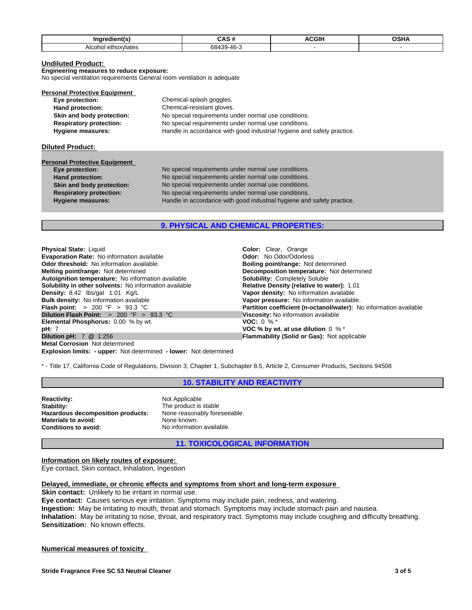| Ina<br>---                                 | $ -$ |  |
|--------------------------------------------|------|--|
| Alcc'<br>$\cdots$<br><u>הזפוט</u><br>udlc. |      |  |

## **Undiluted Product:**

### **Engineering measures to reduce exposure:**

No special ventilation requirements General room ventilation is adequate

| Chemical-splash goggles.                                               |  |
|------------------------------------------------------------------------|--|
| Chemical-resistant gloves.                                             |  |
| No special requirements under normal use conditions.                   |  |
| No special requirements under normal use conditions.                   |  |
| Handle in accordance with good industrial hygiene and safety practice. |  |
|                                                                        |  |

#### **Diluted Product:**

# **Personal Protective Equipment**<br> **Eye protection:**

**Eye protection:** No special requirements under normal use conditions. **Hand protection:** No special requirements under normal use conditions. **Skin and body protection:** No special requirements under normal use conditions. **Respiratory protection:** No special requirements under normal use conditions. **Hygiene measures:** Handle in accordance with good industrial hygiene and safety practice.

## **9. PHYSICAL AND CHEMICAL PROPERTIES:**

**Physical State:** Liquid **Color:** Clear, Orange **Evaporation Rate:** No information available **Constanting Codor:** No Odor/Odorless **Odor threshold:** No information available. **Boiling point/range: Not determined Melting point/range: Not determined Melting point/range: Not determined Autoignition temperature:** No information available **Solubility:** Completely Soluble **Solubility in other solvents:** No information available **Density:** 8.42 **Ibs/gal** 1.01 **Kg/L Bulk density:** No information available<br>**Flash point:** > 200 °F > 93.3 °C **Dilution Flash Point:**  $> 200 \text{ }^{\circ}\text{F} > 93.3 \text{ }^{\circ}\text{C}$  Viscosity: No information available<br>**Elemental Phosphorus:** 0.00 % by wt.<br>**VOC:** 0 % \* **Elemental Phosphorus:** 0.00 % by wt.<br>**pH:** 7 **pH:** 7 **VOC % by wt. at use dilution** 0 % \* **Metal Corrosion** Not determined

**Explosion limits: - upper:** Not determined **- lower:** Not determined

**Decomposition temperature:** Not determined **Solubility:** Completely Soluble **Vapor density:** No information available<br>**Vapor pressure:** No information available. **Partition coefficient (n-octanol/water):** No information available **Flammability (Solid or Gas): Not applicable** 

\* - Title 17, California Code of Regulations, Division 3, Chapter 1, Subchapter 8.5, Article 2, Consumer Products, Sections 94508

**10. STABILITY AND REACTIVITY**

**Reactivity:** Not Applicable<br> **Stability:** The product is **Hazardous decomposition products:** None reasonably foreseeable.<br>Materials to avoid: None known. **Materials to avoid:**<br>Conditions to avoid:

The product is stable **Conditions to avoid:** No information available.

**11. TOXICOLOGICAL INFORMATION**

#### **Information on likely routes of exposure:**

Eye contact, Skin contact, Inhalation, Ingestion

## **Delayed, immediate, or chronic effects and symptoms from short and long-term exposure**

**Skin contact:** Unlikely to be irritant in normal use.

**Eye contact:** Causes serious eye irritation. Symptoms may include pain, redness, and watering. **Ingestion:** May be irritating to mouth, throat and stomach. Symptoms may include stomach pain and nausea. **Inhalation:** May be irritating to nose, throat, and respiratory tract. Symptoms may include coughing and difficulty breathing. **Sensitization:** No known effects.

#### **Numerical measures of toxicity**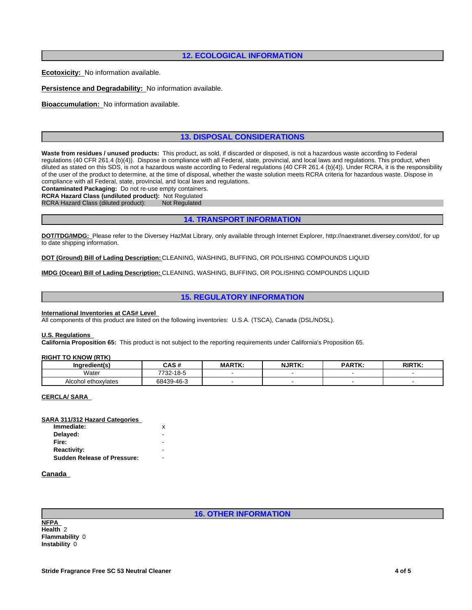## **12. ECOLOGICAL INFORMATION**

**Ecotoxicity:** No information available.

**Persistence and Degradability:** No information available.

**Bioaccumulation:** No information available.

## **13. DISPOSAL CONSIDERATIONS**

**Waste from residues / unused products:** This product, as sold, if discarded or disposed, is not a hazardous waste according to Federal regulations (40 CFR 261.4 (b)(4)). Dispose in compliance with all Federal, state, provincial, and local laws and regulations. This product, when diluted as stated on this SDS, is not a hazardous waste according to Federal regulations (40 CFR 261.4 (b)(4)). Under RCRA, it is the responsibility of the user of the product to determine, at the time of disposal, whether the waste solution meets RCRA criteria for hazardous waste. Dispose in compliance with all Federal, state, provincial, and local laws and regulations.

**Contaminated Packaging:** Do not re-use empty containers.

**RCRA Hazard Class (undiluted product):** Not Regulated

RCRA Hazard Class (diluted product):

## **14. TRANSPORT INFORMATION**

**DOT/TDG/IMDG:** Please refer to the Diversey HazMat Library, only available through Internet Explorer, http://naextranet.diversey.com/dot/, for up to date shipping information.

**DOT (Ground) Bill of Lading Description:** CLEANING, WASHING, BUFFING, OR POLISHING COMPOUNDS LIQUID

**IMDG (Ocean) Bill of Lading Description:** CLEANING, WASHING, BUFFING, OR POLISHING COMPOUNDS LIQUID

## **15. REGULATORY INFORMATION**

#### **International Inventories at CAS# Level**

All components of this product are listed on the following inventories: U.S.A. (TSCA), Canada (DSL/NDSL).

#### **U.S. Regulations**

**California Proposition 65:** This product is not subject to the reporting requirements under California's Proposition 65.

#### **RIGHT TO KNOW (RTK)**

| -------                | . <i></i>                     | MADTK | <b>NJRTK</b> | <b>DADTK</b><br>. | שיחור. |
|------------------------|-------------------------------|-------|--------------|-------------------|--------|
| Water                  | 40E<br>7700<br>. .<br>$\cdot$ |       |              |                   |        |
| ethoxylates<br>Alcoho' | 684<br>$-46-$<br>- – บ- บ     |       |              |                   |        |

#### **CERCLA/ SARA**

## **SARA 311/312 Hazard Categories**

| Immediate:                         | x |  |
|------------------------------------|---|--|
| Delayed:                           | - |  |
| Fire:                              | - |  |
| <b>Reactivity:</b>                 | - |  |
| <b>Sudden Release of Pressure:</b> | ۰ |  |
|                                    |   |  |

## **Canada**

## **16. OTHER INFORMATION**

**NFPA Health** 2 **Flammability** 0 **Instability** 0